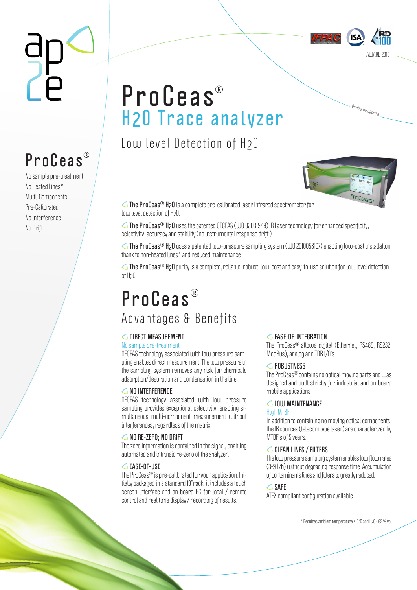

… <sup>O</sup>n-lin<sup>e</sup> <sup>m</sup>onitorin<sup>g</sup>

# **ProCeas H2O Trace analyzer**

Low level Detection of H2O



**△ The ProCeas<sup>®</sup> H<sub>2</sub>O** is a complete pre-calibrated laser infrared spectrometer for low level detection of H<sub>2</sub>O

**The ProCeas<sup>®</sup> H<sub>2</sub>O** uses the patented OFCEAS (WO 03031949) IR Laser technology for enhanced specificity, selectivity, accuracy and stability (no instrumental response drift.)

**The ProCeas H2O** uses a patented low-pressure sampling system (WO 2010058107) enabling low-cost installation thank to non-heated lines\* and reduced maintenance.

**The ProCeas<sup>®</sup> H<sub>2</sub>O** purity is a complete, reliable, robust, low-cost and easy-to-use solution for low level detection of H2O.

### **P r o C e a s**  Advantages & Benefits

#### **DIRECT MEASUREMENT**

#### No sample pre-treatment.

OFCEAS technology associated with low pressure sampling enables direct measurement. The low pressure in the sampling system removes any risk for chemicals adsorption/desorption and condensation in the line.

#### **△NO INTERFERENCE**

OFCEAS technology associated with low pressure sampling provides exceptional selectivity, enabling simultaneous multi-component measurement without interferences, regardless of the matrix.

#### **NO RE-ZERO; NO DRIFT**

The zero information is contained in the signal, enabling automated and intrinsic re-zero of the analyzer.

#### **EASE-OF-USE**

The ProCeas<sup>®</sup> is pre-calibrated for your application. Initially packaged in a standard 19"rack, it includes a touch screen interface and on-board PC for local / remote control and real time display / recording of results.

#### **EASE-OF-INTEGRATION**

The ProCeas<sup>®</sup> allows digital (Ethernet, RS485, RS232, ModBus), analog and TDR I/O's.

#### **ROBUSTNESS**

The ProCeas<sup>®</sup> contains no optical moving parts and was designed and built strictly for industrial and on-board mobile applications.

#### **LOW MAINTENANCE**

#### High MTBF.

In addition to containing no moving optical components, the IR sources (telecom type laser) are characterized by MTBF's of 5 years.

#### **CLEAN LINES / FILTERS**

The low pressure sampling system enables low flow rates (3-9 L/h) without degrading response time. Accumulation of contaminants lines and filters is greatly reduced.

#### **SAFE**

ATEX compliant configuration available.

\* Requires ambient temperature > 10°C and H2O < 65 % vol

# **ProCeas**

No sample pre-treatment No Heated Lines\* Multi-Components Pre-Calibrated No interference No Drift